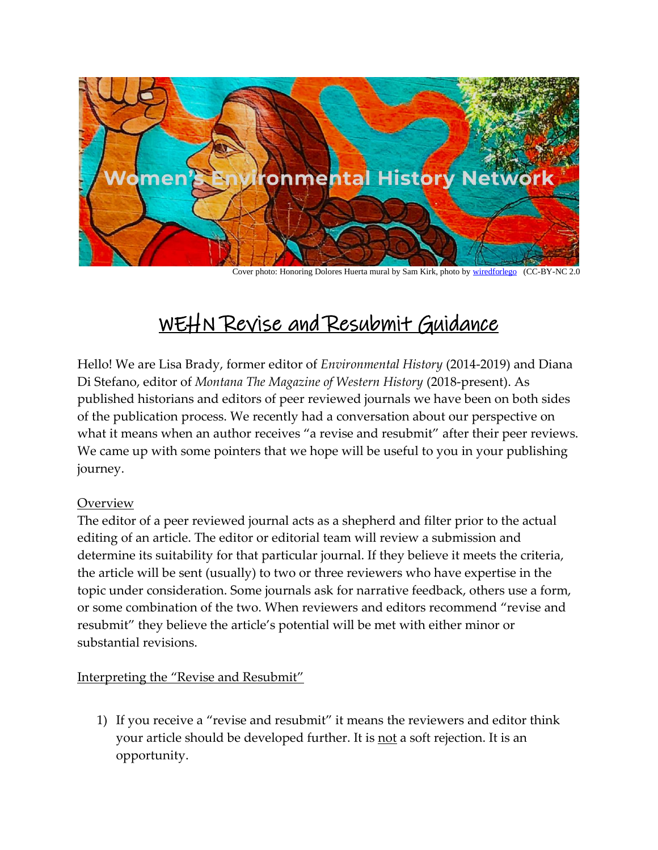

Cover photo: Honoring Dolores Huerta mural by Sam Kirk, photo by [wiredforlego](http://instagram.com/iamsamkirk) (CC-BY-NC 2.0

## WEHN Revise and Resubmit Guidance

Hello! We are Lisa Brady, former editor of *Environmental History* (2014-2019) and Diana Di Stefano, editor of *Montana The Magazine of Western History* (2018-present). As published historians and editors of peer reviewed journals we have been on both sides of the publication process. We recently had a conversation about our perspective on what it means when an author receives "a revise and resubmit" after their peer reviews. We came up with some pointers that we hope will be useful to you in your publishing journey.

## **Overview**

The editor of a peer reviewed journal acts as a shepherd and filter prior to the actual editing of an article. The editor or editorial team will review a submission and determine its suitability for that particular journal. If they believe it meets the criteria, the article will be sent (usually) to two or three reviewers who have expertise in the topic under consideration. Some journals ask for narrative feedback, others use a form, or some combination of the two. When reviewers and editors recommend "revise and resubmit" they believe the article's potential will be met with either minor or substantial revisions.

## Interpreting the "Revise and Resubmit"

1) If you receive a "revise and resubmit" it means the reviewers and editor think your article should be developed further. It is not a soft rejection. It is an opportunity.